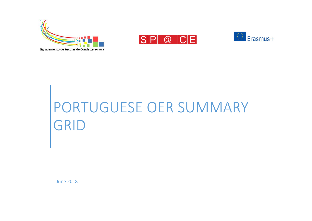





## PORTUGUESE OER SUMMARY GRID

June 2018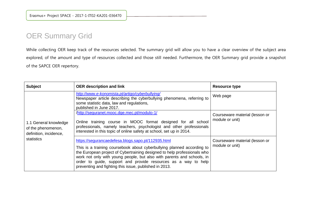## OER Summary Grid

While collecting OER keep track of the resources selected. The summary grid will allow you to have a clear overview of the subject area explored, of the amount and type of resources collected and those still needed. Furthermore, the OER Summary grid provide a snapshot of the SAPCE OER repertory.

| <b>Subject</b>                                                                      | <b>OER description and link</b>                                                                                                                                                                                                                                                                                                                                                                                | Resource type                                     |
|-------------------------------------------------------------------------------------|----------------------------------------------------------------------------------------------------------------------------------------------------------------------------------------------------------------------------------------------------------------------------------------------------------------------------------------------------------------------------------------------------------------|---------------------------------------------------|
| 1.1 General knowledge<br>of the phenomenon,<br>definition, incidence,<br>statistics | http://www.e-konomista.pt/artigo/cyberbullying/<br>Newspaper article describing the cyberbullying phenomena, referring to<br>some statistic data, law and regulations,<br>published in June 2017.                                                                                                                                                                                                              | Web page                                          |
|                                                                                     | /http://seguranet.mooc.dge.mec.pt/modulo-1/<br>Online training course in MOOC format designed for all school<br>professionals, namely teachers, psychologist and other professionals<br>interested in this topic of online safety at school, set up in 2014.                                                                                                                                                   | Courseware material (lesson or<br>module or unit) |
|                                                                                     | https://segurancaedefesa.blogs.sapo.pt/112935.html<br>This is a training coursebook about cyberbullying planned according to<br>the European project of Cybertraining designed to help professionals who<br>work not only with young people, but also with parents and schools, in<br>order to guide, support and provide resources as a way to help<br>preventing and fighting this issue, published in 2013. | Courseware material (lesson or<br>module or unit) |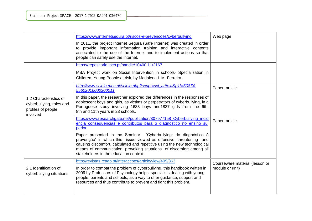|                                                                                      | https://www.internetsegura.pt/riscos-e-prevencoes/cyberbullying<br>In 2011, the project Internet Segura (Safe Internet) was created in order<br>to provide important information training and interactive contents<br>associated to the use of the Internet and to implement actions so that<br>people can safely use the internet.                                                                                                                                                            | Web page                                          |
|--------------------------------------------------------------------------------------|------------------------------------------------------------------------------------------------------------------------------------------------------------------------------------------------------------------------------------------------------------------------------------------------------------------------------------------------------------------------------------------------------------------------------------------------------------------------------------------------|---------------------------------------------------|
| 1.2 Characteristics of<br>cyberbullying, roles and<br>profiles of people<br>involved | https://repositorio.ipcb.pt/handle/10400.11/2167<br>MBA Project work on Social Intervention in schools- Specialization in<br>Children, Young People at risk, by Madalena I. M. Ferreira.                                                                                                                                                                                                                                                                                                       |                                                   |
|                                                                                      | http://www.scielo.mec.pt/scielo.php?script=sci_arttext&pid=S0874-<br>55602016000200011<br>In this paper, the researcher explored the differences in the responses of<br>adolescent boys and girls, as victims or perpetrators of cyberbullying, in a<br>Portuguese study involving 1683 boys and 1837 girls from the 6th,<br>8th and 11th years in 23 schools.                                                                                                                                 | Paper, article                                    |
|                                                                                      | https://www.researchgate.net/publication/307977158_Cyberbullying_incid<br>encia consequencias e contributos para o diagnostico no ensino su<br>perior<br>Paper presented in the Seminar "Cyberbullying: do diagnóstico à<br>prevenção" in which this issue viewed as offensive, threatening and<br>causing discomfort, calculated and repetitive using the new technological<br>means of communication, provoking situations of discomfort among all<br>stakeholders in the education context. | Paper, article                                    |
| 2.1 Identification of<br>cyberbullying situations                                    | http://revistas.rcaap.pt/interaccoes/article/view/409/363<br>In order to combat the problem of cyberbullying, this handbook written in<br>2009 by Professors of Psychology helps specialists dealing with young<br>people, parents and schools, as a way to offer guidance, support and<br>resources and thus contribute to prevent and fight this problem.                                                                                                                                    | Courseware material (lesson or<br>module or unit) |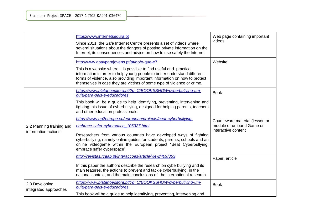|                                                  | https://www.internetsegura.pt<br>Since 2011, the Safe Internet Centre presents a set of videos where<br>several situations about the dangers of posting private information on the<br>Internet, its consequences and advice on how to use safely the Internet.                                                                                               | Web page containing important<br>videos                                              |
|--------------------------------------------------|--------------------------------------------------------------------------------------------------------------------------------------------------------------------------------------------------------------------------------------------------------------------------------------------------------------------------------------------------------------|--------------------------------------------------------------------------------------|
|                                                  | http://www.apavparajovens.pt/pt/go/o-que-e7<br>This is a website where it is possible to find useful and practical<br>information in order to help young people to better understand different<br>forms of violence, also providing important information on how to protect<br>themselves in case they are victims of some type of violence or crime.        | Website                                                                              |
|                                                  | https://www.platanoeditora.pt/?q=C/BOOKSSHOW/cyberbullying-um-<br>guia-para-pais-e-educadores<br>This book wil be a guide to help identifying, preventing, intervening and<br>fighting this issue of cyberbullying, designed for helping parents, teachers<br>and other education professionals.                                                             | <b>Book</b>                                                                          |
| 2.2 Planning training and<br>information actions | https://www.up2europe.eu/european/projects/beat-cyberbullying-<br>embrace-safer-cyberspace_106327.html<br>Researchers from various countries have developed ways of fighting<br>cyberbullying, namely online guides for students, parents, schools and an<br>online videogame within the European project "Beat Cyberbullying:<br>embrace safer cyberspace". | Courseware material (lesson or<br>module or unit) and Game or<br>interactive content |
|                                                  | http://revistas.rcaap.pt/interaccoes/article/view/409/363<br>In this paper the authors describe the research on cyberbullying and its<br>main features, the actions to prevent and tackle cyberbullying, in the<br>national context, and the main conclusions of the international research.                                                                 | Paper, article                                                                       |
| 2.3 Developing<br>integrated approaches          | https://www.platanoeditora.pt/?q=C/BOOKSSHOW/cyberbullying-um-<br>guia-para-pais-e-educadores<br>This book wil be a guide to help identifying, preventing, intervening and                                                                                                                                                                                   | <b>Book</b>                                                                          |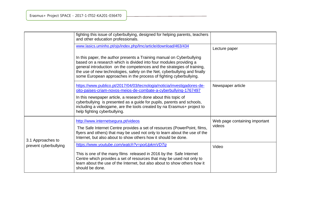|                       | fighting this issue of cyberbullying, designed for helping parents, teachers<br>and other education professionals.                                                                                                                                                                                                                                                        |                                         |
|-----------------------|---------------------------------------------------------------------------------------------------------------------------------------------------------------------------------------------------------------------------------------------------------------------------------------------------------------------------------------------------------------------------|-----------------------------------------|
|                       | www.lasics.uminho.pt/ojs/index.php/lmc/article/download/463/434                                                                                                                                                                                                                                                                                                           | Lecture paper                           |
|                       | In this paper, the author presents a Training manual on Cyberbullying<br>based on a research which is divided into four modules providing a<br>general introduction on the competences and the strategies of training,<br>the use of new technologies, safety on the Net, cyberbullying and finally<br>some European approaches in the process of fighting cyberbullying. |                                         |
|                       | https://www.publico.pt/2017/04/03/tecnologia/noticia/investigadores-de-<br>oito-paises-criam-novos-meios-de-combate-a-cyberbullying-1767497                                                                                                                                                                                                                               | Newspaper article                       |
|                       | In this newspaper article, a research done about this topic of<br>cyberbullying is presented as a guide for pupils, parents and schools,<br>including a videogame, are the tools created by na Erasmus+ project to<br>help fighting cyberbullying.                                                                                                                        |                                         |
| 3.1 Approaches to     | http://www.internetsegura.pt/videos<br>The Safe Internet Centre provides a set of resources (PowerPoint, films,<br>flyers and others) that may be used not only to learn about the use of the<br>Internet, but also about to show others how it should be done.                                                                                                           | Web page containing important<br>videos |
| prevent cyberbullying | https://www.youtube.com/watch?v=poiUpkmVDTg<br>This is one of the many films released in 2016 by the Safe Internet<br>Centre which provides a set of resources that may be used not only to<br>learn about the use of the Internet, but also about to show others how it<br>should be done.                                                                               | Video                                   |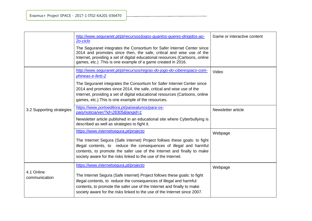|                             | http://www.seguranet.pt/pt/recursos/jogos-quantos-queres-dirigidos-ao-<br>20-ciclo<br>The Seguranet integrates the Consortium for Safer Internet Center since<br>2014 and promotes since then, the safe, critical and wise use of the<br>Internet, providing a set of digital educational resources (Cartoons, online<br>games, etc.). This is one example of a game created in 2016. | Game or interactive content |
|-----------------------------|---------------------------------------------------------------------------------------------------------------------------------------------------------------------------------------------------------------------------------------------------------------------------------------------------------------------------------------------------------------------------------------|-----------------------------|
|                             | http://www.seguranet.pt/pt/recursos/regras-do-jogo-do-ciberespaco-com-<br>phineas-e-ferb-2<br>The Seguranet integrates the Consortium for Safer Internet Center since<br>2014 and promotes since 2014, the safe, critical and wise use of the<br>Internet, providing a set of digital educational resources (Cartoons, online<br>games, etc.). This is one example of the resources.  | Video                       |
| 3.2 Supporting strategies   | https://www.portoeditora.pt/paisealunos/para-os-<br>pais/noticia/ver/?id=28305&langid=1<br>Newsletter article published in an educational site where Cyberbullying is<br>described as well as strategies to fight it.                                                                                                                                                                 | Newsletter article          |
|                             | https://www.internetsegura.pt/projecto<br>The Internet Segura (Safe internet) Project follows these goals: to fight<br>illegal contents, to reduce the consequences of illegal and harmful<br>contents, to promote the safer use of the Internet and finally to make<br>society aware for the risks linked to the use of the Internet.                                                | Webpage                     |
| 4.1 Online<br>communication | https://www.internetsegura.pt/projecto<br>The Internet Segura (Safe internet) Project follows these goals: to fight<br>illegal contents, to reduce the consequences of illegal and harmful<br>contents, to promote the safer use of the Internet and finally to make<br>society aware for the risks linked to the use of the Internet since 2007.                                     | Webpage                     |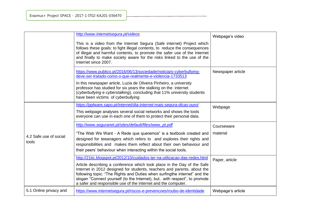|                                 | http://www.internetsegura.pt/videos                                                                                                                                                                                                                                                                                                                                           |                   |
|---------------------------------|-------------------------------------------------------------------------------------------------------------------------------------------------------------------------------------------------------------------------------------------------------------------------------------------------------------------------------------------------------------------------------|-------------------|
|                                 | This is a video from the Internet Segura (Safe internet) Project which<br>follows these goals: to fight illegal contents, to reduce the consequences<br>of illegal and harmful contents, to promote the safer use of the Internet<br>and finally to make society aware for the risks linked to the use of the<br>Internet since 2007.                                         | Webpage's video   |
|                                 | https://www.publico.pt/2016/06/13/sociedade/noticia/o-cyberbullying-<br>deve-ser-tratado-como-o-que-realmente-e-violencia-1733513                                                                                                                                                                                                                                             | Newspaper article |
|                                 | In this newspaper article, Luzia de Oliveira Pinheiro, a university<br>professor has studied for six years the stalking on the internet<br>(cyberbullying e cyberstalking), concluding that 11% university students<br>have been victims of cyberbullying.                                                                                                                    |                   |
|                                 | https://pplware.sapo.pt/internet/dia-internet-mais-segura-dicas-ouro/                                                                                                                                                                                                                                                                                                         | Webpage           |
|                                 | This webpage analyses several social networks and shows the tools<br>everyone can use in each one of them to protect their personal data.                                                                                                                                                                                                                                     |                   |
|                                 | http://www.seguranet.pt/sites/default/files/www_pt.pdf                                                                                                                                                                                                                                                                                                                        | Courseware        |
| 4.2 Safe use of social<br>tools | "The Web We Want - A Rede que queremos" is a textbook created and<br>designed for teeanagers which refers to and explores their rights and<br>responsibilities and makes them reflect about their own behaviour and<br>their peers' behaviour when interacting within the social tools.                                                                                       | material          |
|                                 | http://21tic.blogspot.pt/2012/10/cuidados-ter-na-utilizacao-das-redes.html                                                                                                                                                                                                                                                                                                    | Paper, article    |
|                                 | Article describing a conference which took place in the Day of the Safe<br>Internet in 2012 designed for students, teachers and parents, about the<br>following topic: "The Rights and Duties when surfingthe internet" and the<br>slogan "Connect yourself (to the Internet), but with respect", to promote<br>a safer and responsible use of the Internet and the computer. |                   |
| 5.1 Online privacy and          | https://www.internetsegura.pt/riscos-e-prevencoes/roubo-de-identidade                                                                                                                                                                                                                                                                                                         | Webpage's article |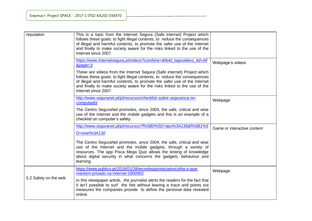| reputation            | This is a topic from the Internet Segura (Safe internet) Project which<br>follows these goals: to fight illegal contents, to reduce the consequences<br>of illegal and harmful contents, to promote the safer use of the Internet<br>and finally to make society aware for the risks linked to the use of the<br>Internet since 2007.  |                             |
|-----------------------|----------------------------------------------------------------------------------------------------------------------------------------------------------------------------------------------------------------------------------------------------------------------------------------------------------------------------------------|-----------------------------|
|                       | https://www.internetsegura.pt/videos?combine=&field_tagsvideos_tid=All<br>&page=3                                                                                                                                                                                                                                                      | Webpage's videos            |
|                       | These are videos from the Internet Segura (Safe internet) Project which<br>follows these goals: to fight illegal contents, to reduce the consequences<br>of illegal and harmful contents, to promote the safer use of the Internet<br>and finally to make society aware for the risks linked to the use of the<br>Internet since 2007. |                             |
|                       | http://www.sequranet.pt/pt/recursos/checklist-sobre-sequranca-no-<br>computador                                                                                                                                                                                                                                                        | Webpage                     |
|                       | The Centro SeguraNet promotes, since 2004, the safe, critical and wise<br>use of the Internet and the mobile gadgets and this is an example of a<br>checklist on computer's safety.                                                                                                                                                    |                             |
|                       | http://www.seguranet.pt/pt/recursos?f%5B0%5D=tipo%3A136&f%5B1%5<br>$D = nivel\%3A130$                                                                                                                                                                                                                                                  | Game or interactive content |
|                       | The Centro SeguraNet promotes, since 2004, the safe, critical and wise<br>use of the Internet and the mobile gadgets, through a variety of<br>resources. The app Pisca Mega Quiz allows the testing of knowledge<br>about digital security in what concerns the gadgets, behaviour and<br>learning.                                    |                             |
|                       | https://www.publico.pt/2018/01/28/tecnologia/noticia/escolha-o-que-<br>mantem-privado-na-internet-1800902                                                                                                                                                                                                                              | Webpage                     |
| 5.2 Safety on the web | In this newspaper article, the journalist alerts the readers for the fact that<br>it isn't possible to surf the Net without leaving a trace and points out<br>measures the companies provide to define the personal data revealed<br>online.                                                                                           |                             |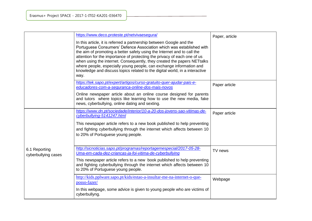|                                      | https://www.deco.proteste.pt/netvivaesegura/<br>In this article, it is referred a partnership between Google and the<br>Portuguese Consumers' Defence Association which was established with<br>the aim of promoting a better safety using the Internet and to call the<br>attention for the importance of protecting the privacy of each one of us<br>when using the internet. Consequently, they created the papers NETtalks<br>where people, especially young people, can exchange information and<br>knowledge and discuss topics related to the digital world, in a interactive<br>way. | Paper, article |
|--------------------------------------|----------------------------------------------------------------------------------------------------------------------------------------------------------------------------------------------------------------------------------------------------------------------------------------------------------------------------------------------------------------------------------------------------------------------------------------------------------------------------------------------------------------------------------------------------------------------------------------------|----------------|
|                                      | https://tek.sapo.pt/expert/artigos/curso-gratuito-quer-ajudar-pais-e-<br>educadores-com-a-seguranca-online-dos-mais-novos<br>Online newspaper article about an online course designed for parents<br>and tutors where topics like learning how to use the new media, fake<br>news, cyberbullying, online dating and sexting.                                                                                                                                                                                                                                                                 | Paper article  |
|                                      | https://www.dn.pt/sociedade/interior/10-a-20-dos-jovens-sao-vitimas-de-<br>cyberbullying-5141247.html<br>This newspaper article refers to a new book published to help preventing<br>and fighting cyberbullying through the internet which affects between 10<br>to 20% of Portuguese young people.                                                                                                                                                                                                                                                                                          | Paper article  |
| 6.1 Reporting<br>cyberbullying cases | http://sicnoticias.sapo.pt/programas/reportagemespecial/2017-05-28-<br>Uma-em-cada-dez-criancas-ja-foi-vitima-de-cyberbullying<br>This newspaper article refers to a new book published to help preventing<br>and fighting cyberbullying through the internet which affects between 10<br>to 20% of Portuguese young people.                                                                                                                                                                                                                                                                 | TV news        |
|                                      | http://kids.pplware.sapo.pt/kids/estao-a-insultar-me-na-internet-o-que-<br>posso-fazer/<br>In this webpage, some advice is given to young people who are victims of<br>cyberbullyng.                                                                                                                                                                                                                                                                                                                                                                                                         | Webpage        |